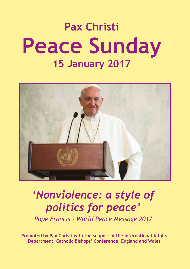# **Pax Christi Peace Sunday 15 January 2017**



## *'Nonviolence: a style of politics for peace'*

*Pope Francis - World Peace Message 2017*

**Promoted by Pax Christi with the support of the International Affairs Department, Catholic Bishops' Conference, England and Wales**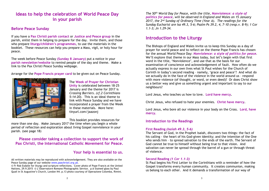## **Ideas to help the celebration of World Peace Day in your parish**

#### **Before Peace Sunday**

If you have a **Pax Christi parish contact** or **Justice and Peace group** in the parish, enlist them in helping to prepare for the day. Invite them, and those who prepare **liturgy/children's programmes**, to use the materials in the booklet. These resources can help you prepare a Mass, vigil, or holy hour for peace.

The week before Peace Sunday **(Sunday 8 January)** put a notice in your **parish newsletter/website** to remind people of the day and theme. Make a link to the Pax Christi Peace Sunday webpage.

Arrange for the **Pope Francis prayer card** to be given out on Peace Sunday.



The **Week of Prayer for Christian Unity** is celebrated between 18-25 January and the theme for 2017 is *Crossing Barriers. (cf.2 Corinthians 5:14-20)*. This is an ideal theme to link with Peace Sunday and we have incorporated a prayer from the Week in these materials. More here: tinyurl.com/jaazonj

This booklet provides resources for

more than one day. Make January 2017 the time when you begin a whole period of reflection and exploration about living Gospel nonviolence in your parish. (see page 18)

#### **Please consider taking a collection to support the work of Pax Christi, the International Catholic Movement for Peace.**

#### **Your help is essential to us.**

All written materials may be reproduced with acknowledgement. They are also available on the Peace Sunday page of our website *www.paxchristi.org.uk. www.paxchristi.org.uk*

© Fr Rob Esdaile for liturgy and scripture reflections. Cover photo of Pope Francis at the United Nations, 29.9.2015 © *L'Osservatore Romano* Photographic Service. p.6 Stained glass by Paul Quail in St Augustine's Church, London N4. p.13 photo courtesy of Operazione Colomba, Rimini.

*The 50th World Day for Peace, with the title, Nonviolence: a style of politics for peace, will be observed in England and Wales on 15 January 2017, the 2nd Sunday of Ordinary Time (Year A). The readings for the Sunday Eucharist are Isa 49.3, 5-6; Psalm Ps 39.2, 4, 7-10 (resp.v. 8-9); 1 Cor 1.1-3; Jn 1.29-34.*

## **Introduction to the Liturgy**

The Bishops of England and Wales invite us to keep this Sunday as a day of prayer for world peace and to reflect on the theme Pope Francis has chosen for the annual World Peace Day: *Nonviolence: a style of politics for peace.* We'll explore that theme in our Mass today, but let's begin with that first word in the title, 'Nonviolence', and use that as the basis for our examination of conscience and acknowledgement of fault. How often do we actually express in our own lives what St Paul wishes for the Church of Corinth in today's second reading – namely, 'grace and peace'? And what do we actually do in the face of the violence in the world around us – respond with more violence (of thought, or word, or even deed)? Or does Christ show us a better way and give us something urgent and important to say to our neighbours?

Lord Jesus, who teaches us how to love. **Lord have mercy.**

Christ Jesus, who refused to hate your enemies. **Christ have mercy.**

Lord Jesus, who bore all our violence in your body on the Cross. **Lord, have mercy.**

#### **Introduction to the Readings**

#### **First Reading** *(Isaiah 49.3, 5-6)*

The Servant of God, in the Prophet Isaiah, discovers two things: the fact of his calling - the heart of his God-given identity; and the intention of the One who sends him – to spread salvation to the ends of the earth. The Servant of God cannot be true to himself without being true to that vision. And salvation can never be spread through the barrel of a gun or through threat of violence.

#### **Second Reading** *(1 Cor 1.1-3)*

St Paul begins his First Letter to the Corinthians with a reminder of how the Gospel transforms every human community. It creates communion, making us belong to each other. And it demands a transformation of our way of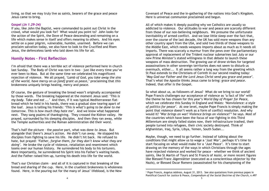living, so that we may truly live as saints, bearers of the grace and peace Jesus came to bring.

#### **Gospel** *(Jn 1.29-34)*

If you, like John the Baptist, were commanded to point out Christ in the crowd, what would you look for? What would you point to? John looks for the action of the Spirit, the Dove of Peace descending and remaining on a life which makes sense in itself and offers meaning to others. And his eyes settle on a poor pilgrim, vulnerable, humble, unarmed. Before we can proclaim salvation today, we also have to look to the Crucified and Risen Jesus, the defenceless lamb who laid down his life for all.

#### **Homily Notes – First Reflection**

I'm afraid that there was a terrible act of violence performed here in church last Sunday. The Body of Christ was torn in two – just like every time you've ever been to Mass. But at the same time we celebrated his magnificent rejection of violence. We all prayed, *'Lamb of God, you take away the sins of the world, have mercy on us [and] grant us peace,'* proclaiming that *this* brokenness uniquely brings healing, mercy and peace.

Of course, the gesture of breaking the bread wasn't originally accompanied by those words. The breaking happened at the moment Jesus said: *'This is my body. Take and eat ...'* And then, if it was typical Mediterranean flatbread which he held in his hands, there was a gradual slow tearing apart of the loaf. Jesus is telling his friends: *'This is what's going to be done to me tomorrow. This is how much they hate me'.* And we know what happened next. They sang psalms of thanksgiving. They crossed the Kidron valley. He prayed, surrounded by his sleeping disciples. And then they ran away, while the Temple authorities and the Roman administration did their worst.

That's half the picture – the *passive* part, what was done *to* Jesus. But alongside that there's Jesus's *action*. He didn't run away. He stopped his disciples from fighting to save his life. He didn't hit back. He refused to hate, but prayed: *'Father, forgive them, for they don't know what they are doing'.* He broke the cycle of violence, retaliation and resentment which looms over our human history. He surrendered his body to his torturers. More importantly, he surrendered his Spirit into his Father's waiting hands. And the Father raised him up, turning his death into life for the world.

That's our Christian claim – and all of it is captured in that breaking of the bread and sharing of the cup. Here, in the cruellest brokenness is wholeness found. Here, in the pouring out for the many of Jesus' lifeblood, is the New

Covenant of Peace and the in-gathering of the nations into God's Kingdom. Here is universal communion proclaimed and begun.

All of which makes it deeply puzzling why we Catholics are usually so addicted to violence. Our attitudes to war and peace are scarcely different from those of our non-believing neighbours. We presume the unfortunate inevitability of armed conflict. And we lose little sleep over the fact that, over the course of the last decade, the UK has sold more weapons than any other country apart from the USA, and sold two thirds of those weapons to the Middle East, which needs weapons imports about as much as it needs oil imports. There was scarcely a murmur from the pews over the parliamentary approval of replacement of the Trident nuclear submarines last July or our new Prime Minister's stated willingness in that debate to launch these weapons of mass destruction. The growing use of drone strikes for targeted assassinations in other sovereign territories does not seem to disturb us overmuch, either... It all seems rather a long way from the greeting which St Paul extends to the Christians of Corinth in our second reading today: *'May God our Father and the Lord Jesus Christ send you grace and peace'.* That's what the Apostle thinks Jesus came to bring: *grace and peace*. Indeed, that offer *is* the Gospel.

So what about us, as followers of Jesus? What do we bring to our world? Pope Francis challenges our acceptance of violence as 'a fact of life' with the theme he has chosen for this year's *World Day of Prayer for Peace*, which we celebrate this Sunday in England and Wales: *'Nonviolence: a style of politics for peace'.* At one level, maybe Pope Francis is simply making the point that violence doesn't work as a form of conflict resolution. And why would it? *'War brings on war! Violence brings on violence!'*<sup>1</sup> he says. Most of the countries which have been the focus of war-fighting in this Third Millennium are simply failed states now, their infrastructure trashed, their people turned into refugees, their civic society destroyed. Think of Afghanistan, Iraq, Syria, Libya, Yemen, South Sudan...

Maybe, though, we need to go further. Instead of talking about the conditions that might allow us to wage a *'Just War'*, perhaps it's time to start focusing on what would make for a *'Just Peace'*. It's time to start drawing on the memory of the ways in which Christians through the ages have rejected violence and worked for peace – whether we think of ancient saints, like St Martin of Tours and St Francis of Assisi, or more recent figures like Blessed Franz Jägerstätter (executed as a conscientious objector by the Nazis), or Blessed Oscar Romero (assassinated for his championing of the

<sup>1</sup> Pope Francis, Angelus Address, August 31, 2013. See also quotations from previous popes in Pontifical Council for Justice & Peace, *Compendium of the Social Doctrine of the Church*, n.497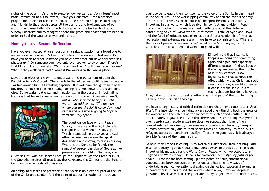rights of the poor). It's time to explore how we can transform Jesus' most basic instruction to his followers, *'Love your enemies!'* into a practical programme of acts of reconciliation, and the creation of spaces of dialogue and friendship that reach across all the barriers and brokennesses of our world. Fundamentally, it's time to look again at the broken host at our Sunday Eucharist and to recognise there the grace and peace that we need in order to heal the wounds of war and hatred.

#### **Homily Notes - Second Reflection**

Have you ever waited at an airport or at a railway station for a loved one to arrive, especially when it's been such a long time since you last met? Or have you been to meet someone you have never met but have only seen in a photograph? Or someone you have only ever spoken to by phone? There's that little flutter of anxiety: Will I recognise them? Will they recognise me? What if they walk right past? What if I'm waiting in the wrong place?

Maybe that gives us a way in to understand the predicament of John the Baptist in today's Gospel. There he is in the wilderness, with a sea of people swirling around him, all wanting baptism. But welcome though they may all be, they're not the ones he's really looking for. He knows there's someone else. So he waits, patiently and impatiently, in the desert. In fact, all he knows is that he will know when he shows up: *'I did not know him myself,*



*but he who sent me to baptise with water had said to me, "The man on whom you see the Spirit come down and rest is the one who is going to baptise with the Holy Spirit"'.*

The question we face on this Peace Sunday is: are we in the right place to recognise Christ when he shows up? Which means asking ourselves and each other: where can we see the Spirit descending and coming to rest in our day? Where is the Dove to be found, the symbol of peace, the sign of God's active presence in our midst – *'the Lord, the*

*Giver of Life, who has spoken through the Prophets'* (as the Creed puts it), the One who inspires all true love; the Advocate, the Comforter, the Bond of Communion who heals all divisions?

An ability to discern the presence of the Spirit is an essential part of the life of the Christian disciple. And the point of all our formation of the young

ought to be to equip them to listen to the voice of the Spirit, in their heart, in the Scriptures, in the worshipping community and in the events of daily life. But attentiveness to the voice of the Spirit becomes particularly important in our world which is so riven by conflict and division. Pope Francis has spoken of the many armed conflicts around the globe as constituting *'a Third World War in instalments'*. Think of Syria and Libya and the flood of refugees unleashed as a result of a heady mix of internal repression and external aggression. We have to ask insistently: Where is the dove of peace to be seen today? What is the Spirit saying to the Churches – and to all men and women of good will?



Einstein said that insanity is keeping on doing the same thing again and again and expecting different results. And we keep on throwing weapons at the problem of military conflict. How, logically, can that achieve the effect which we as Christians seek – reconciliation, a world at peace? It doesn't make sense, but it seems that we just don't have the

imagination or the will to seek another way. And part of the problem might lie in our own Christian theology.

We have a long history of ethical reflection on what might constitute a *'Just War'*. The intention was certainly a very good one – limiting both the grounds for warfare and the effects on the innocent of such armed conflict. But unfortunately it gave the illusion that there can be such a thing as a *good* (or even a *holy*) war. Modern warfare does not respect the rights of noncombatants, either directly (because many bombs are inherently 'weapons of mass destruction', due to their sheer force) or indirectly (as the flows of refugees across our continent testify). There is no good war. It is always a terrible failure of the human spirit.

So now Pope Francis is calling us to switch our attention, from defining *'Just War'* to identifying what would allow *'Just Peace'* to break out. That's the import of his message for the World Day of Peace, which we celebrate in England and Wales today. He calls for *'Nonviolence: a style of politics for peace'*. That means both setting up new (often difficult) international conversations between competing nations and learning new ways of undertaking such conversations, drawing on the various successful examples of conflict resolution around the world – which always involve people at grassroots level, as well as the great and the good jetting in for conferences.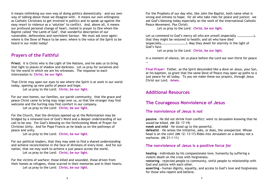It means rethinking our own way of doing politics domestically – and our own way of talking about those we disagree with. It means our own willingness as Catholic Christians to get involved in politics and to speak up against the easy resort to violence as a 'solution' to conflict. And, above all, it means our profound personal change of heart, rooted in prayer to One whom the Baptist called 'the Lamb of God', that wonderful description of our vulnerable, defenceless and nonviolent Saviour. We must ask once again: where is the Dove of Peace to be seen; where is the voice of the Spirit to be heard in our midst today?

## **Prayers of the Faithful**

**Priest:** It is Christ who is the Light of the Nations, and he asks us to bring that light to places of shadow and darkness. Let us pray for ourselves and for the world in which we are his witnesses. The response to each intercession is: **Christ, be our light**.

That Christ may open our eyes to see where the Spirit is at work in our world today, opening up new paths of peace and hope.

Let us pray to the Lord: **Christ, be our light.**

For our own homes, our families, our parish community; that the grace and peace Christ came to bring may reign over us, so that the stranger may find welcome and the hurting may find comfort in our company.

Let us pray to the Lord: **Christ, be our light.**

For the Church, that the divisions opened up at the Reformation may be bridged by a renewed love of God's Word and a deeper understanding of our call to be one. For God's blessing on the forthcoming Week of Prayer for Christian Unity. And for Pope Francis as he leads us on the pathways of peace and unity.

Let us pray to the Lord: **Christ, be our light.**

For our political leaders, that they may seek to find a shared understanding and achieve reconciliation in the face of divisions of every kind. And for our nation, that we may work to achieve a just peace across the world.

Let us pray to the Lord: **Christ, be our light.**

For the victims of warfare: those killed and wounded, those driven from their homes as refugees, those scarred in their memories and in their hearts. Let us pray to the Lord: **Christ, be our light.**

For the Prophets of our day who, like John the Baptist, both name what is wrong and witness to hope; for all who take risks for peace and justice: we ask God's blessing today especially on the work of the international Catholic Peace Movement, Pax Christi.

Let us pray to the Lord: **Christ, be our light.**

Let us commend to God's mercy all who are unwell (especially .....................). that they might be restored to health; and all who have died (especially………………………….). May they dwell for eternity in the light of God's face.

Let us pray to the Lord: **Christ, be our light.**

In a moment of silence, let us place before the Lord our own thirst for peace …

**Final Prayer:** Father, as the Spirit descended like a dove on Jesus, your Son, at his baptism, so grant that the same Dove of Peace may open up paths to a just peace for all today. To you we make these our prayers, through Jesus Christ our Lord. **Amen.**

## **Additional Resources**

## **The Courageous Nonviolence of Jesus**

## **The nonviolence of Jesus is** *not*

**passive** – He did not shrink from conflict: went *to* Jerusalem knowing that he would be killed. (Mt 20: 17-19) **meek and mild** – He stood up to the powerful. **defeatist** – He seizes the initiative, asks, or does, the unexpected. Whose head is on the coin? (Mk 12: 13-17) Rides into Jerusalem on a donkey not a warhorse. (Mt 21:1-11)

## **The nonviolence of Jesus is a positive force** *for*

**healing –** individuals by his compassionate love, humanity by suffering a violent death on the cross with forgiveness.

**restoring** - rejected people to community, sinful people to relationship with God and justice with each other.

**asserting -** human dignity, equality, and access to God's love and forgiveness for those who repent and believe.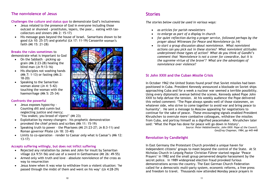## **The nonviolence of Jesus**

**Challenges the culture and status quo** to demonstrate God's inclusiveness

- Jesus related to the presence of God in everyone including those outcast or shunned - prostitutes, lepers, the poor… eating with taxcollectors and sinners (Mk 2: 15-17)
- His message goes beyond the house of Israel. Samaritans shown to be good (Lk 10: 25-37) and grateful (Lk 17: 11-19) Canaanite women's woman'sfaith (Mt 15: 21-28)

#### **Breaks the rules sometimes** to

demonstrate what is important to God

- On the Sabbath picking up grain (Mk 2:23-28) healing the blind man (Jn 9:13-16)
- His disciples not washing hands (Mk 7: 1-13) or fasting (Mk:2: 18-20)
- Speaking to the Samaritan woman alone (Jn 4: 5-42) touching the woman with the haemorrhage (Mk 5: 25-34)

#### **Confronts the powerful**

- Jesus exposes hypocrisy Counting dill and cumin but neglecting justice and mercy; 'You snakes; you brood of vipers!' (Mt 23)
- Exploitation by money-changers his prophetic demonstration provoked the chief priests and scribes (Mk 11: 15-19)
- Speaking truth to power the Pharisees (Mt 21:23-27; Jn 8:3-11) and Roman governor Pilate (Jn 18: 33-40)
- Limits to co-operation render to Caesar *only* what is Caesar's (Mk 12: 13-17)

#### **Accepts suffering willingly, but does not inflict suffering**

- Rejected any retaliation by James and John for insult by Samaritan village (Lk 9:51-56) and use of a sword in Gethsemane (Mt 26: 49-55)
- Armed only with truth and love absolute nonviolence of the cross as way to resurrection
- Jesus knew when it was wise to withdraw from a violent situation: 'he passed through the midst of them and went on his way' (Lk 4:28-29)



## **Stories**

*The stories below could be used in various ways:*

- *as articles for parish newsletters*
- *to enlarge as part of a display in church*
- *for quiet reflection during a prayer service, followed perhaps by the prayer about Witnesses for Peace and Nonviolence (p.14)*
- *to start a group discussion about nonviolence. What nonviolent actions can you pick out in these stories? What nonviolent attitudes underpinned those types of action? What do you think of Gandhi's comment that 'Nonviolence is not a cover for cowardice, but it is the supreme virtue of the brave'? What are the advantages of nonviolence over violence?*

#### **St John XXIII and the Cuban Missile Crisis**

In October 1962 the United States found proof that Soviet missiles had been positioned in Cuba. President Kennedy announced a blockade on Soviet ships approaching Cuba and for a week a nuclear war seemed a terrible possibility. Using every diplomatic avenue behind the scenes, Kennedy asked Pope John XXIII to help defuse the tension. At his weekly audience the Pope delivered this veiled comment: 'The Pope always speaks well of those statesmen, on whatever side, who strive to come together to avoid war and bring peace to humanity'. He sent a message to Moscow appealing for negotiations to continue for the sake of peace. These encouraging signals enabled President Khrushchev to overrule more combative colleagues, withdraw the missiles from Cuba, and portray himself as a dignified peacemaker. Khrushchev later said: 'What the Pope has done for peace will go down in history'. *Source: Peter Hebblethwaite, John XXIII: Pope of the Council,*

*Geoffrey Chapman, 1984, pp 445-448*

#### **Revolution by Candlelight**

In East Germany the Protestant Church provided a unique haven for independent citizens' groups to meet beyond the control of the State. At St Nicholas Church in Leipzig Pastor Christian Führer started regular 'Peace Prayers' in 1982 and the small group persevered despite harassment by the secret police. In 1989 widespread election fraud provoked furious demonstrations across the country. The East German Church Federation called for a democratic multi-party system, economic reforms, a free press and freedom to travel. Thousands now attended Monday peace prayers in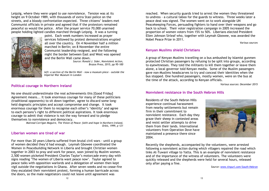Leipzig, where they were urged to use nonviolence. Tension was at its height on 9 October 1989, with thousands of extra Stasi police on the streets, and a bloody confrontation expected. Three citizens' leaders met Communist officials in private and agreed that if the protestors remained peaceful so would the police. After the prayer service 70,000 unarmed people holding lighted candles marched through Leipzig. It was a turning



point. Each week numbers increased as prayer services followed by protest demonstrations erupted all over the country. On 4 November half a million marched in Berlin; on 8 November the entire Communist leadership resigned, and the following night the border between East and West was opened and the Berlin Wall came down.

*Source: Ronald J. Sider, Nonviolent Action, Brazos Press, 2015, pp 95-100*

*left: a section of the Berlin Wall – now a museum piece - outside the Imperial War Museum in London*

#### **Political courage in Northern Ireland**

No one should underestimate the real achievements this [Good Friday] Agreement means... It took enormous courage for many of these politicians (traditional opponents) to sit down together, agree to discard some longheld dogmatic principles and accept compromise and change. It took enormous courage for them to recognise each other's 'identity' and agree to each persons's right to different political aspirations. It took enormous courage to admit that violence is not the way forward and to pledge themselves to nonviolence and democracy.

*Mairead Corrigan Maguire, The Vision of Peace: faith and hope in Northern Ireland, Orbis, 1999, p 121*

#### **Liberian women are tired of war**

For more than 20 years Liberia suffered from brutal civil wars - until a group of women decided they'd had enough. Leymah Gbowee coordinated the Women in Peacebuilding Network in Liberia and brought Christian women together in 2003 to pray and work for peace, soon joined by Muslim women. 2,500 women picketed President Charles Taylor's motorcade every day with signs reading 'The women of Liberia want peace now'. Taylor agreed to peace talks with opposition warlords and a delegation of women then kept vigil outside the negotiations in Ghana. After seven weeks and no cease-fire they escalated their nonviolent protest, forming a human barricade across the doors, so the male negotiators could not leave until agreement was

reached. When security guards tried to arrest the women they threatened to undress - a cultural taboo for the guards to witness. Three weeks later a peace deal was signed. The women went on to work alongside UN Peacekeeping Forces, persuading fighters to hand over their weapons and go back to school. Their voter registration campaign in 2005 increased the proportion of women voters from 15% to 50%. Liberians elected President Ellen Johnson Sirleaf who, together with Leymah Gbowee, was awarded the Nobel Peace Prize in 2011.

*Various sources*

#### **Kenyan Muslims shield Christians**

A group of Kenyan Muslims travelling on a bus ambushed by Islamist gunmen protected Christian passengers by refusing to be split into groups, according to eyewitnesses. They told the militants to kill them together or leave them alone, a local governor told Kenyan media. Some of the Muslim passengers gave non-Muslims headscarves to try and conceal their identities when the bus stopped. One hundred passengers, mostly women, were on the bus at the time of the attack, according to Kenyan officials.

*Various sources: December 2015*

#### **Nonviolent resistance in the South Hebron Hills**

Residents of the South Hebron Hills experience continual harassment from nearby settlements but remain firm in their commitment to nonviolent resistance. Each day they graze their sheep in contested areas and resist settler attempts to drive them from their lands. International volunteers from Operation Dove have maintained a presence there since 2004.



Recently the shepherds, accompanied by the volunteers, were arrested following a nonviolent action during which villagers repaired the road which links At-Tuwani village to Yatta. This is an example of nonviolent resistance and of the importance of the witness of volunteers. The volunteers were quickly released and the shepherds were held for several hours, released only after paying a fine.

*Source: www.tinyurl.com/South-Hebron*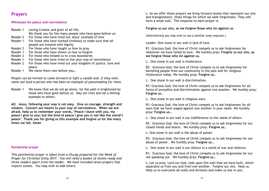## **Prayers**

#### **Witnesses for peace and nonviolence**

| Reader 1 | Loving Creator and giver of all life,                          |
|----------|----------------------------------------------------------------|
|          | We thank you for the many people who have gone before us:      |
| Reader 2 | For those who have lived out Jesus' example of love            |
| Reader 1 | For those who have worked tirelessly to make sure that all     |
|          | people are treated with dignity                                |
| Reader 2 | For those who have taught us how to pray                       |
| Reader 1 | For those who have shown us how to forgive                     |
| Reader 2 | For those who helped us to cross boundaries                    |
| Reader 1 | For those who have tried to live your way of nonviolence       |
| Reader 2 | For those who have lived out your kingdom of justice, love and |
|          | peace                                                          |
|          | $\mathbf{u}$                                                   |

Reader 1 We name them now before you…

*People can be invited to come forward to light a candle and, if they wish, name out loud a person who has been an example of peacemaking for them.*

Reader 1 We know that we do not go alone, for the path is brightened by those who have gone before us. May our lives also be a shining example to others.

**All: Jesus, following your way is not easy. Give us courage, strength and wisdom. Convert our hearts to your way of nonviolence. When we are afraid, help us to remember your words, 'Peace I leave with you, my peace I give to you; but the kind of peace I give you is not like the world's peace'. Thank you for giving us this example and forgive us for the many times we fail. Amen**

#### **Penitential prayer**

*This penitential prayer is taken from a liturgy prepared for the Week of Prayer for Christian Unity 2017. You will need a basket of stones ready and three readers apart from the leader. We have included seven prayers that require stones. You may wish to add others.*

L: As we offer these prayers we bring forward stones that represent our sins and transgressions, those things for which we seek forgiveness. They will form a small wall. The response to each prayer is:

**Forgive us our sins, as we forgive those who sin against us.**

*(Alternatively you may wish to use a familiar sung response.)*

Leader: One stone in our wall is lack of love.

R1: Gracious God, the love of Christ compels us to ask forgiveness for whenever we have failed to love. We humbly pray: **Forgive us our sins, as we forgive those who sin against us.**

L: One stone in our wall is intolerance.

R2: Gracious God, the love of Christ compels us to ask forgiveness for banishing people from our community in the past and for religious intolerance today. We humbly pray: **Forgive us…**

L: One stone in our wall is discrimination.

R3: Gracious God, the love of Christ compels us to ask forgiveness for all forms of prejudice and discrimination against one another. We humbly pray: **Forgive us…**

L: One stone in our wall is religious wars.

R1: Gracious God, the love of Christ compels us to ask forgiveness for all wars that we have waged against one another in your name. We humbly pray: **Forgive us…**

L: One stone in our wall is our indifference to the needs of others.

R2: Gracious God, the love of Christ compels us to ask forgiveness for our closed minds and hearts. We humbly pray: **Forgive us…**

L: One stone in our wall is the abuse of power.

R3: Gracious God, the love of Christ compels us to ask forgiveness for our abuse of power. We humbly pray: **Forgive us…**

L: One stone in our wall is our silence in a world of war and violence.

R1: Gracious God, the love of Christ compels us to ask forgiveness for our not speaking out. We humbly pray: **Forgive us…**

L: Let us pray. Lord our God, look upon this wall that we have built, which separates us from you and from one another. Forgive our sins. Heal us. Help us to overcome all walls and divisions and make us one in you.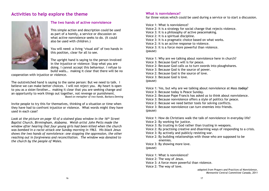## **Activities to help explore the theme**



#### **The two hands of active nonviolence**

This simple action and description could be used as part of a homily, a service or discussion on what active nonviolence seeks to do. (It could also be used with children.)

You will need: a living 'visual aid' of two hands in this position, clear for all to see.

The upright hand is saying to the person involved in the injustice or violence: Stop what you are doing. I cannot accept this behaviour. I refuse to build walls… making it clear that there will be no

cooperation with injustice or violence.

The outstretched hand is saying to the same person: But we need to talk. I believe we can make better choices. I will not reject you. My heart is open to you as a sister/brother… making it clear that you are seeking change and an opportunity to work things out together, not revenge or punishment. *Based on metaphor of two hands, Barbara Deming*

Invite people to try this for themselves, thinking of a situation or time when they have had to confront injustice or violence. What words might they have used in each case?

*Look at the picture on page 10 of a stained glass window in the 16th Street Baptist Church, Birmingham, Alabama. Welsh artist John Petts made the window after hearing that four young girls had been killed when the church was bombed in a racist attack one Sunday morning in 1963. His black Jesus shows the two hands of nonviolence: one stopping the oppression, the other reaching out in forgiveness and reconciliation. The window was donated to the church by the people of Wales.*

#### **What is nonviolence?**

for three voices which could be used during a service or to start a discussion.

Voice 1: What is nonviolence?

Voice 2: It is a strategy for social change that rejects violence.

Voice 3: It is a philosophy of active peacemaking.

Voice 2: It is a spiritual discipline.

Voice 3: It is a pragmatic choice based on what works.

Voice 2: It is an active response to violence.

Voice 3: It is a force more powerful than violence.

(pause)

Voice 1: Why are we talking about nonviolence here in church? Voice 3: Because God's will is for peace. Voice 2: Because God calls us to turn swords into ploughshares. Voice 3: Because God is the source of power. Voice 2: Because God is the source of love. Voice 3: Because God is love.

#### (pause)

Voice 1: Yes, but why are we talking about nonviolence at Mass *today*? Voice 3: Because today is Peace Sunday.

Voice 2: Because Pope Francis has asked us to think about nonviolence.

Voice 3: Because nonviolence offers a style of politics for peace.

Voice 2: Because we need better tools for solving conflicts.

Voice 3: Because nonviolence can turn enemies into friends. (pause)

Voice 1: How do Christians walk the talk of nonviolence in everyday life? Voice 2: By working for justice.

Voice 3: By trusting in God rather than trusting in weapons.

Voice 2: By practising creative and disarming ways of responding to a crisis.

Voice 3: By actively and publicly resisting war.

Voice 2: By building relationships with those who are supposed to be enemies.

Voice 3: By showing more love.

(pause)

Voice 1: What is nonviolence?

Voice 2: The way of Jesus.

Voice 3: A force more powerful than violence.

Voice 2: The way of love.

*adapted from Prayers and Practices of Nonviolence, Mennonite Central Committee Canada, 2011*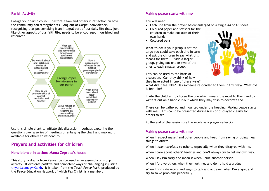#### **Parish Activity**

Engage your parish council, pastoral team and others in reflection on how the community can strengthen its living out of Gospel nonviolence, recognising that peacemaking is an integral part of our daily life that, just like other aspects of our faith life, needs to be encouraged, nourished and resourced.



Use this simple chart to initiate this discussion – perhaps exploring the questions over a series of meetings or enlarging the chart and making it available for others to respond to.

## **Prayers and activities for children**

#### **Nonviolence in action: Mama Zepreta's house**

This story, a drama from Kenya, can be used as an assembly or group activity. It explores positive and nonviolent ways of challenging injustice. tinyurl.com/gwk2axb. It is taken from the *Teach Peace Pack*, produced by tinyurl.com/gwk2axbthe Peace Education Network of which Pax Christi is a member.

#### **Making peace starts with me**

You will need:

- Each line from the prayer below enlarged on a single A4 or A3 sheet
- Coloured paper and scissors for the children to make cut-outs of their own hands
- Coloured pens

**What to do:** If your group is not too large you could take each line in turn and ask the children to say what this means for them. Divide a larger group, giving out one or two of the lines to each smaller group.

This can be used as the basis of discussion. Can they think of how they have acted in one of these ways?

What did it feel like? Has someone responded to them in this way? What did it feel like?

Invite the children to choose the one which means the most to them and to write it out on a hand cut-out which they may wish to decorate too.

These can be gathered and mounted under the heading 'Making peace starts with me'. This could be presented during Mass or displayed clearly for others to see.

At the end of the session use the words as a prayer reflection.

#### **Making peace starts with me**

When I respect myself and other people and keep from saying or doing mean things to others.

When I listen carefully to others, especially when they disagree with me.

When I care about others' feelings and don't always try to get my own way.

When I say I'm sorry and mean it when I hurt another person.

When I forgive others when they hurt me, and don't hold a grudge.

When I find safe words and ways to talk and act even when I'm angry, and try to solve problems peacefully.

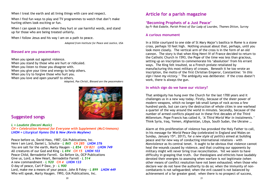When I treat the earth and all living things with care and respect.

When I find fun ways to play and TV programmes to watch that don't make hurting others look exciting or fun.

When I can speak to others when they hurt or use harmful words, and stand up for those who are being treated unfairly.

When I follow Jesus and his way I am on a path to peace.

*Adapted from Institute for Peace and Justice, USA*

#### **Blessed are you peacemakers**

When you speak out against violence. When you stand by those who are hurt or ridiculed. When you listen to those you disagree with. When you give your time and energy to help others. When you try to forgive those who hurt you. When you love and open yourself to others.

*Adapted, Pax Christi, Blessed are the peacemakers*



## **Suggested songs**

*L = Laudate (Decani Music)*

*CH = Celebration Hymnal for Everyone with Supplement (McCrimmons) LHON = Liturgical Hymns Old & New (Kevin Mayhew)*

Peace before us, David Hass, 1987, GIA Publications, Inc. Here I am Lord, Daniel L. Schutte - *L 865 CH 285 LHON 376* You are salt for the earth, Marty Haugen - *L 854 CH 821 LHON 749* All creatures of our God and King - *L 694 CH 15 LHON 103* Peace Child, Bernadette Farrell. Go Before Us, OCP Publications Give us, Lord, a New Heart, Bernadette Farrell - *L 514* A new commandment - *L 920 CH 4 LHON 133* O day of peace, Carl P Daw, jr - *L 900* Lord, make me a means of your peace, John B Foley - *L 899 LHON 449* Who will speak, Marty Haugen. 1993, GIA Publications, Inc.

## **Article for a parish magazine**

#### **'Becoming Prophets of a Just Peace'**

*by Fr Rob Esdaile, Parish Priest of Our Lady of Lourdes, Thames Ditton, Surrey*

#### **A curious monument**

In a little courtyard to one side of St Mary Major's basilica in Rome is a stone cross, perhaps 10 feet high. Nothing unusual about that, perhaps, until you look more closely. The vertical arm of the cross is in the form of an old cannon. The story is that when King Henri IV of France decided to return to the Catholic Church in 1593, the Pope of the time was less than gracious, setting up an inscription to commemorate his 'absolution' from his errant ways. The King felt insulted, so a French prelate retaliated by manufacturing this most military of crosses. Beneath it he too wrote an inscription, the motto of the first Christian Emperor, Constantine: *'In this sign I have my victory.'* The ambiguity was deliberate: If the cross doesn't work, there is always the gun.

#### **In which sign do we have our victory?**

That ambiguity has hung over the Church for the last 1700 years and it challenges us in a new way today. Firstly, because of the sheer power of modern weapons, which no longer lob small lumps of rock across a few hundred yards, but can carry the destruction of whole cities in one warhead a quarter of the way around the world in minutes. Secondly, because of the number of armed conflicts played out in these first decades of the Third Millennium. Pope Francis has called it, *'A Third World War in instalments.'* Think Syria, Iraq, Yemen, Afghanistan, Libya, South Sudan, the Ukraine …

Alarm at this proliferation of violence has provoked the Holy Father to call, in his message for *World Peace Day* (celebrated in England and Wales on Sunday, January 15th, 2017), for *a new style of politics* aimed at building peace and for new way of conducting international relations - with *Nonviolence* as its central tenet. It ought to be obvious that violence cannot heal the wounds caused by violence, and that crushing our opponents by military might will never bring true reconciliation. Yet we seem to have difficulty in grasping that truth. Our theologians and ethicists have laudably devoted their energies to assessing when warfare is *not* legitimate (when other means of conflict resolution have not been exhausted; when those who declare war do not have the authority to do so; when the immunity of noncombatants is not safeguarded; when the evil caused is not balanced by achievement of a far greater good; when there is no prospect of success,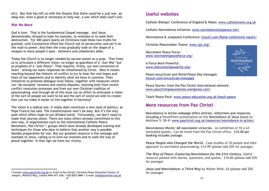etc). But that has left us with the illusion that there *could* be a *just* war, an *okay* war; even a *good* or *necessary* or *holy* war, a war which does God's will.

#### **War No More**

God is love. That is the fundamental Gospel message. And Jesus demonstrably refused to hate his enemies, to retaliate or to seek their destruction. For 300 years nearly all Christians took these two truths for granted, until Constantine lifted the Church out of persecution and set it on the road to power. And then the cross gradually took on the shape of a weapon in many people's eyes – believers and unbelievers alike.

Today the Church is no longer needed by secular power as a prop. That frees us to articulate a different vision; no longer as guardians of a *'Just War'* but as prophets of a *'Just Peace'*. That requires, firstly, our own conversion of heart – letting our basic responses be refashioned by Christ. Next it means reaching beyond the rhetoric of conflict to try to hear the real hopes and fears of our opponents and to identify what we have in common. Then initiatives to promote dialogue must follow, together with measures which can 'de-escalate' tensions and resolve disputes, learning both from recent conflict resolution processes and from our own Christian tradition of peacemaking. And through all of this must run an effort to articulate a vision of the sort of people we want to be and the sort of world we wish to create: how can we make it easier to live together in harmony?

The vision is a radical one. It really does constitute a new style of politics, as Pope Francis has said. The transformation won't be easy. But it's the only path which offers hope to our divided world. Fortunately, we don't need to make that journey alone. There are many others already committed to this new way, in organisations such as the international Catholic Peace Movement, *Pax Christi <sup>2</sup>*, groups which have already developed training and techniques for those who dare to believe that another way is possible besides preparation for war. But our greatest resource is the message and example of Jesus, calling us to love our enemies and to walk the way of peace together. In that sign we have our victory.

## **Useful websites**

Catholic Bishops' Conference of England & Wales: www.catholicnews.org.uk

Catholic Nonviolence Initiative: www.nonviolencejustpeace.net/

Nonviolence & Justpeace Conference: tinyurl.com/Rome-conference-report/

Christian Peacemaker Teams: www.cpt.org/

Nonviolent Peace Force: www.nonviolentpeaceforce.org/

A Force More Powerful: www.aforcemorepowerful.org/



Peace encyclicals and World Peace Day messages: tinyurl.com/encyclicals-messages

Peace Stories: from the Pax Christi international network: www.paxchristipeacestories.wordpress.com/

Teach Peace Pack: www.peace-education.org.uk/teach-peace

## **More resources from Pax Christi**

Nonviolence in Action webpage offers articles, reflections and resources, including a PowerPoint presentation on the Nonviolence of Jesus based on Matthew 5: 38-41 www.paxchristi.org.uk/resources/nonviolence-in-action/

*Nonviolence Works: 60 nonviolent victories*. An exhibition of **1**0 x A3 laminated panels**.** Can be hired from the Pax Christi office. £10.00 per booking includes postage**.**

*Peace People who Changed the World***.** Case-studies of 10 people and their approach to nonviolent peacemaking. £14.99 (please add 20% for postage)

*The Way of Peace: Exploring Nonviolence for the 21st Century***.** Useful resource packed with stories, questions, and quotes. £10.00 (please add 20% for postage)

*Jesus and Nonviolence: a Third Way* by Walter Wink, £6 (please add 20% for postage)

<sup>&</sup>lt;sup>2</sup> Contact www.paxchristi.org.uk or write to Pax Christi, Christian Peace Education Centre, St Joseph's, Watford Way, London NW4 4TY (UK) / 020 8203 4884 / E-mail: info@paxchristi.org.uk